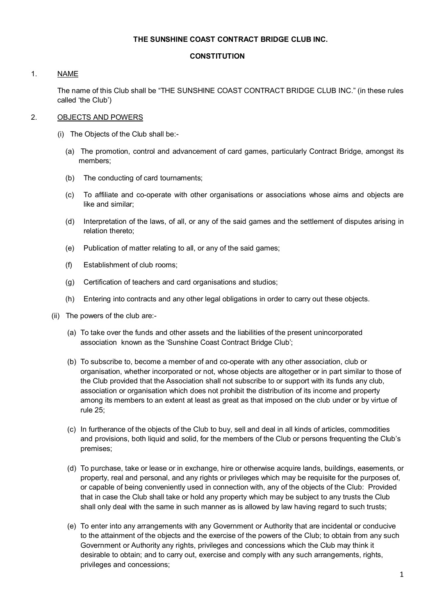### **THE SUNSHINE COAST CONTRACT BRIDGE CLUB INC.**

### **CONSTITUTION**

# 1. NAME

The name of this Club shall be "THE SUNSHINE COAST CONTRACT BRIDGE CLUB INC." (in these rules called 'the Club')

## 2. OBJECTS AND POWERS

- (i) The Objects of the Club shall be:-
	- (a) The promotion, control and advancement of card games, particularly Contract Bridge, amongst its members;
	- (b) The conducting of card tournaments;
	- (c) To affiliate and co-operate with other organisations or associations whose aims and objects are like and similar;
	- (d) Interpretation of the laws, of all, or any of the said games and the settlement of disputes arising in relation thereto;
	- (e) Publication of matter relating to all, or any of the said games;
	- (f) Establishment of club rooms;
	- (g) Certification of teachers and card organisations and studios;
	- (h) Entering into contracts and any other legal obligations in order to carry out these objects.
- (ii) The powers of the club are:-
	- (a) To take over the funds and other assets and the liabilities of the present unincorporated association known as the 'Sunshine Coast Contract Bridge Club';
	- (b) To subscribe to, become a member of and co-operate with any other association, club or organisation, whether incorporated or not, whose objects are altogether or in part similar to those of the Club provided that the Association shall not subscribe to or support with its funds any club, association or organisation which does not prohibit the distribution of its income and property among its members to an extent at least as great as that imposed on the club under or by virtue of rule 25;
	- (c) In furtherance of the objects of the Club to buy, sell and deal in all kinds of articles, commodities and provisions, both liquid and solid, for the members of the Club or persons frequenting the Club's premises;
	- (d) To purchase, take or lease or in exchange, hire or otherwise acquire lands, buildings, easements, or property, real and personal, and any rights or privileges which may be requisite for the purposes of, or capable of being conveniently used in connection with, any of the objects of the Club: Provided that in case the Club shall take or hold any property which may be subject to any trusts the Club shall only deal with the same in such manner as is allowed by law having regard to such trusts;
	- (e) To enter into any arrangements with any Government or Authority that are incidental or conducive to the attainment of the objects and the exercise of the powers of the Club; to obtain from any such Government or Authority any rights, privileges and concessions which the Club may think it desirable to obtain; and to carry out, exercise and comply with any such arrangements, rights, privileges and concessions;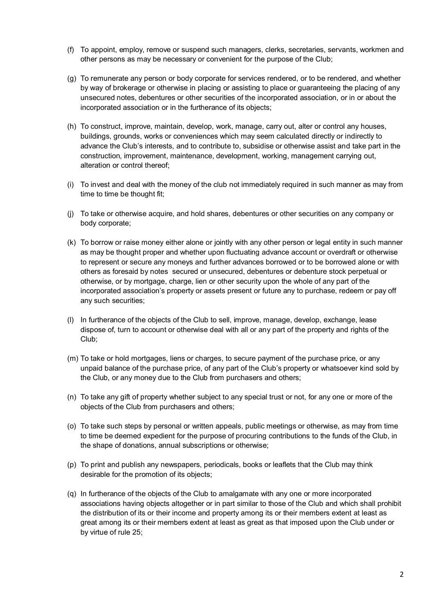- (f) To appoint, employ, remove or suspend such managers, clerks, secretaries, servants, workmen and other persons as may be necessary or convenient for the purpose of the Club;
- (g) To remunerate any person or body corporate for services rendered, or to be rendered, and whether by way of brokerage or otherwise in placing or assisting to place or guaranteeing the placing of any unsecured notes, debentures or other securities of the incorporated association, or in or about the incorporated association or in the furtherance of its objects;
- (h) To construct, improve, maintain, develop, work, manage, carry out, alter or control any houses, buildings, grounds, works or conveniences which may seem calculated directly or indirectly to advance the Club's interests, and to contribute to, subsidise or otherwise assist and take part in the construction, improvement, maintenance, development, working, management carrying out, alteration or control thereof;
- (i) To invest and deal with the money of the club not immediately required in such manner as may from time to time be thought fit;
- (j) To take or otherwise acquire, and hold shares, debentures or other securities on any company or body corporate;
- (k) To borrow or raise money either alone or jointly with any other person or legal entity in such manner as may be thought proper and whether upon fluctuating advance account or overdraft or otherwise to represent or secure any moneys and further advances borrowed or to be borrowed alone or with others as foresaid by notes secured or unsecured, debentures or debenture stock perpetual or otherwise, or by mortgage, charge, lien or other security upon the whole of any part of the incorporated association's property or assets present or future any to purchase, redeem or pay off any such securities;
- (l) In furtherance of the objects of the Club to sell, improve, manage, develop, exchange, lease dispose of, turn to account or otherwise deal with all or any part of the property and rights of the Club;
- (m) To take or hold mortgages, liens or charges, to secure payment of the purchase price, or any unpaid balance of the purchase price, of any part of the Club's property or whatsoever kind sold by the Club, or any money due to the Club from purchasers and others;
- (n) To take any gift of property whether subject to any special trust or not, for any one or more of the objects of the Club from purchasers and others;
- (o) To take such steps by personal or written appeals, public meetings or otherwise, as may from time to time be deemed expedient for the purpose of procuring contributions to the funds of the Club, in the shape of donations, annual subscriptions or otherwise;
- (p) To print and publish any newspapers, periodicals, books or leaflets that the Club may think desirable for the promotion of its objects;
- (q) In furtherance of the objects of the Club to amalgamate with any one or more incorporated associations having objects altogether or in part similar to those of the Club and which shall prohibit the distribution of its or their income and property among its or their members extent at least as great among its or their members extent at least as great as that imposed upon the Club under or by virtue of rule 25;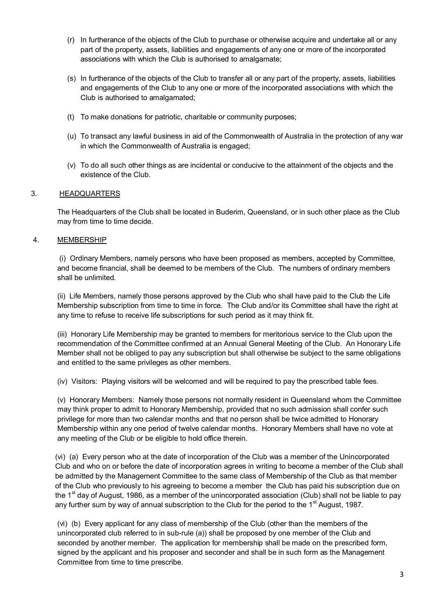- (r) In furtherance of the objects of the Club to purchase or otherwise acquire and undertake all or any part of the property, assets, liabilities and engagements of any one or more of the incorporated associations with which the Club is authorised to amalgamate;
- (s) In furtherance of the objects of the Club to transfer all or any part of the property, assets, liabilities and engagements of the Club to any one or more of the incorporated associations with which the Club is authorised to amalgamated;
- (t) To make donations for patriotic, charitable or community purposes;
- (u) To transact any lawful business in aid of the Commonwealth of Australia in the protection of any war in which the Commonwealth of Australia is engaged;
- (v) To do all such other things as are incidental or conducive to the attainment of the objects and the existence of the Club.

# 3. HEADQUARTERS

The Headquarters of the Club shall be located in Buderim, Queensland, or in such other place as the Club may from time to time decide.

### 4. MEMBERSHIP

(i) Ordinary Members, namely persons who have been proposed as members, accepted by Committee, and become financial, shall be deemed to be members of the Club. The numbers of ordinary members shall be unlimited.

(ii) Life Members, namely those persons approved by the Club who shall have paid to the Club the Life Membership subscription from time to time in force. The Club and/or its Committee shall have the right at any time to refuse to receive life subscriptions for such period as it may think fit.

(iii) Honorary Life Membership may be granted to members for meritorious service to the Club upon the recommendation of the Committee confirmed at an Annual General Meeting of the Club. An Honorary Life Member shall not be obliged to pay any subscription but shall otherwise be subject to the same obligations and entitled to the same privileges as other members.

(iv) Visitors: Playing visitors will be welcomed and will be required to pay the prescribed table fees.

(v) Honorary Members: Namely those persons not normally resident in Queensland whom the Committee may think proper to admit to Honorary Membership, provided that no such admission shall confer such privilege for more than two calendar months and that no person shall be twice admitted to Honorary Membership within any one period of twelve calendar months. Honorary Members shall have no vote at any meeting of the Club or be eligible to hold office therein.

(vi) (a) Every person who at the date of incorporation of the Club was a member of the Unincorporated Club and who on or before the date of incorporation agrees in writing to become a member of the Club shall be admitted by the Management Committee to the same class of Membership of the Club as that member of the Club who previously to his agreeing to become a member the Club has paid his subscription due on the 1<sup>st</sup> day of August, 1986, as a member of the unincorporated association (Club) shall not be liable to pay any further sum by way of annual subscription to the Club for the period to the 1<sup>st</sup> August, 1987.

(vi) (b) Every applicant for any class of membership of the Club (other than the members of the unincorporated club referred to in sub-rule (a)) shall be proposed by one member of the Club and seconded by another member. The application for membership shall be made on the prescribed form, signed by the applicant and his proposer and seconder and shall be in such form as the Management Committee from time to time prescribe.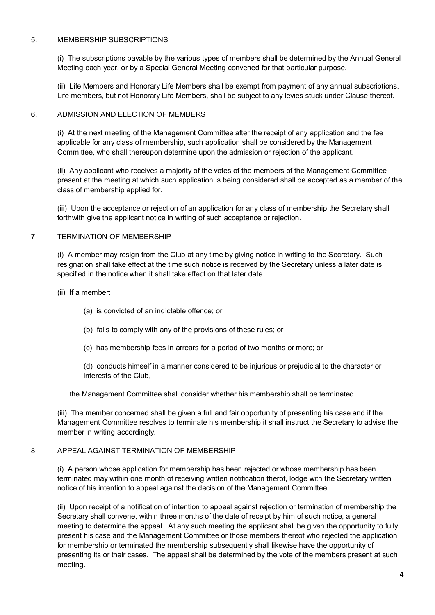### 5. MEMBERSHIP SUBSCRIPTIONS

(i) The subscriptions payable by the various types of members shall be determined by the Annual General Meeting each year, or by a Special General Meeting convened for that particular purpose.

(ii) Life Members and Honorary Life Members shall be exempt from payment of any annual subscriptions. Life members, but not Honorary Life Members, shall be subject to any levies stuck under Clause thereof.

### 6. ADMISSION AND ELECTION OF MEMBERS

(i) At the next meeting of the Management Committee after the receipt of any application and the fee applicable for any class of membership, such application shall be considered by the Management Committee, who shall thereupon determine upon the admission or rejection of the applicant.

(ii) Any applicant who receives a majority of the votes of the members of the Management Committee present at the meeting at which such application is being considered shall be accepted as a member of the class of membership applied for.

(iii) Upon the acceptance or rejection of an application for any class of membership the Secretary shall forthwith give the applicant notice in writing of such acceptance or rejection.

# 7. TERMINATION OF MEMBERSHIP

(i) A member may resign from the Club at any time by giving notice in writing to the Secretary. Such resignation shall take effect at the time such notice is received by the Secretary unless a later date is specified in the notice when it shall take effect on that later date.

- (ii) If a member:
	- (a) is convicted of an indictable offence; or
	- (b) fails to comply with any of the provisions of these rules; or
	- (c) has membership fees in arrears for a period of two months or more; or

(d) conducts himself in a manner considered to be injurious or prejudicial to the character or interests of the Club,

the Management Committee shall consider whether his membership shall be terminated.

(iii) The member concerned shall be given a full and fair opportunity of presenting his case and if the Management Committee resolves to terminate his membership it shall instruct the Secretary to advise the member in writing accordingly.

### 8. APPEAL AGAINST TERMINATION OF MEMBERSHIP

(i) A person whose application for membership has been rejected or whose membership has been terminated may within one month of receiving written notification therof, lodge with the Secretary written notice of his intention to appeal against the decision of the Management Committee.

(ii) Upon receipt of a notification of intention to appeal against rejection or termination of membership the Secretary shall convene, within three months of the date of receipt by him of such notice, a general meeting to determine the appeal. At any such meeting the applicant shall be given the opportunity to fully present his case and the Management Committee or those members thereof who rejected the application for membership or terminated the membership subsequently shall likewise have the opportunity of presenting its or their cases. The appeal shall be determined by the vote of the members present at such meeting.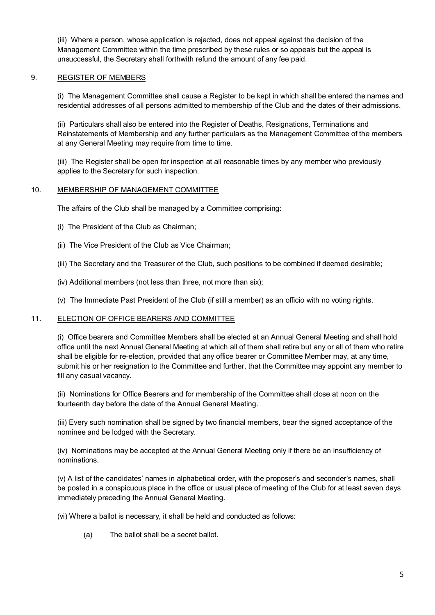(iii) Where a person, whose application is rejected, does not appeal against the decision of the Management Committee within the time prescribed by these rules or so appeals but the appeal is unsuccessful, the Secretary shall forthwith refund the amount of any fee paid.

### 9. REGISTER OF MEMBERS

(i) The Management Committee shall cause a Register to be kept in which shall be entered the names and residential addresses of all persons admitted to membership of the Club and the dates of their admissions.

(ii) Particulars shall also be entered into the Register of Deaths, Resignations, Terminations and Reinstatements of Membership and any further particulars as the Management Committee of the members at any General Meeting may require from time to time.

(iii) The Register shall be open for inspection at all reasonable times by any member who previously applies to the Secretary for such inspection.

### 10. MEMBERSHIP OF MANAGEMENT COMMITTEE

The affairs of the Club shall be managed by a Committee comprising:

- (i) The President of the Club as Chairman;
- (ii) The Vice President of the Club as Vice Chairman;
- (iii) The Secretary and the Treasurer of the Club, such positions to be combined if deemed desirable;
- (iv) Additional members (not less than three, not more than six);
- (v) The Immediate Past President of the Club (if still a member) as an officio with no voting rights.

### 11. ELECTION OF OFFICE BEARERS AND COMMITTEE

(i) Office bearers and Committee Members shall be elected at an Annual General Meeting and shall hold office until the next Annual General Meeting at which all of them shall retire but any or all of them who retire shall be eligible for re-election, provided that any office bearer or Committee Member may, at any time, submit his or her resignation to the Committee and further, that the Committee may appoint any member to fill any casual vacancy.

(ii) Nominations for Office Bearers and for membership of the Committee shall close at noon on the fourteenth day before the date of the Annual General Meeting.

(iii) Every such nomination shall be signed by two financial members, bear the signed acceptance of the nominee and be lodged with the Secretary.

(iv) Nominations may be accepted at the Annual General Meeting only if there be an insufficiency of nominations.

(v) A list of the candidates' names in alphabetical order, with the proposer's and seconder's names, shall be posted in a conspicuous place in the office or usual place of meeting of the Club for at least seven days immediately preceding the Annual General Meeting.

(vi) Where a ballot is necessary, it shall be held and conducted as follows:

(a) The ballot shall be a secret ballot.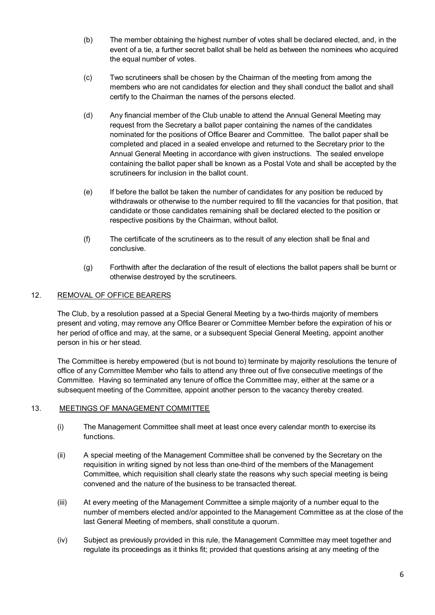- (b) The member obtaining the highest number of votes shall be declared elected, and, in the event of a tie, a further secret ballot shall be held as between the nominees who acquired the equal number of votes.
- (c) Two scrutineers shall be chosen by the Chairman of the meeting from among the members who are not candidates for election and they shall conduct the ballot and shall certify to the Chairman the names of the persons elected.
- (d) Any financial member of the Club unable to attend the Annual General Meeting may request from the Secretary a ballot paper containing the names of the candidates nominated for the positions of Office Bearer and Committee. The ballot paper shall be completed and placed in a sealed envelope and returned to the Secretary prior to the Annual General Meeting in accordance with given instructions. The sealed envelope containing the ballot paper shall be known as a Postal Vote and shall be accepted by the scrutineers for inclusion in the ballot count.
- (e) If before the ballot be taken the number of candidates for any position be reduced by withdrawals or otherwise to the number required to fill the vacancies for that position, that candidate or those candidates remaining shall be declared elected to the position or respective positions by the Chairman, without ballot.
- (f) The certificate of the scrutineers as to the result of any election shall be final and conclusive.
- (g) Forthwith after the declaration of the result of elections the ballot papers shall be burnt or otherwise destroyed by the scrutineers.

# 12. REMOVAL OF OFFICE BEARERS

The Club, by a resolution passed at a Special General Meeting by a two-thirds majority of members present and voting, may remove any Office Bearer or Committee Member before the expiration of his or her period of office and may, at the same, or a subsequent Special General Meeting, appoint another person in his or her stead.

The Committee is hereby empowered (but is not bound to) terminate by majority resolutions the tenure of office of any Committee Member who fails to attend any three out of five consecutive meetings of the Committee. Having so terminated any tenure of office the Committee may, either at the same or a subsequent meeting of the Committee, appoint another person to the vacancy thereby created.

### 13. MEETINGS OF MANAGEMENT COMMITTEE

- (i) The Management Committee shall meet at least once every calendar month to exercise its functions.
- (ii) A special meeting of the Management Committee shall be convened by the Secretary on the requisition in writing signed by not less than one-third of the members of the Management Committee, which requisition shall clearly state the reasons why such special meeting is being convened and the nature of the business to be transacted thereat.
- (iii) At every meeting of the Management Committee a simple majority of a number equal to the number of members elected and/or appointed to the Management Committee as at the close of the last General Meeting of members, shall constitute a quorum.
- (iv) Subject as previously provided in this rule, the Management Committee may meet together and regulate its proceedings as it thinks fit; provided that questions arising at any meeting of the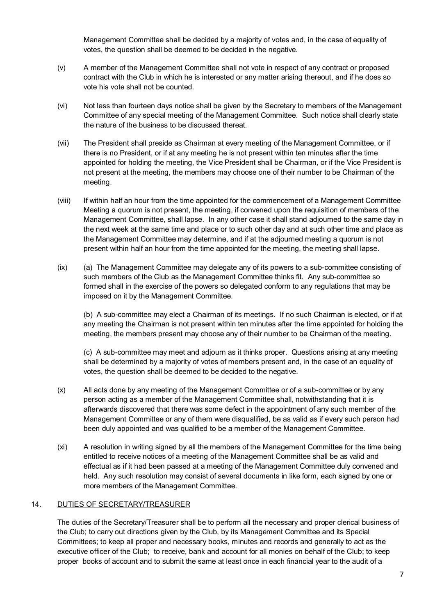Management Committee shall be decided by a majority of votes and, in the case of equality of votes, the question shall be deemed to be decided in the negative.

- (v) A member of the Management Committee shall not vote in respect of any contract or proposed contract with the Club in which he is interested or any matter arising thereout, and if he does so vote his vote shall not be counted.
- (vi) Not less than fourteen days notice shall be given by the Secretary to members of the Management Committee of any special meeting of the Management Committee. Such notice shall clearly state the nature of the business to be discussed thereat.
- (vii) The President shall preside as Chairman at every meeting of the Management Committee, or if there is no President, or if at any meeting he is not present within ten minutes after the time appointed for holding the meeting, the Vice President shall be Chairman, or if the Vice President is not present at the meeting, the members may choose one of their number to be Chairman of the meeting.
- (viii) If within half an hour from the time appointed for the commencement of a Management Committee Meeting a quorum is not present, the meeting, if convened upon the requisition of members of the Management Committee, shall lapse. In any other case it shall stand adjourned to the same day in the next week at the same time and place or to such other day and at such other time and place as the Management Committee may determine, and if at the adjourned meeting a quorum is not present within half an hour from the time appointed for the meeting, the meeting shall lapse.
- (ix) (a) The Management Committee may delegate any of its powers to a sub-committee consisting of such members of the Club as the Management Committee thinks fit. Any sub-committee so formed shall in the exercise of the powers so delegated conform to any regulations that may be imposed on it by the Management Committee.

(b) A sub-committee may elect a Chairman of its meetings. If no such Chairman is elected, or if at any meeting the Chairman is not present within ten minutes after the time appointed for holding the meeting, the members present may choose any of their number to be Chairman of the meeting.

(c) A sub-committee may meet and adjourn as it thinks proper. Questions arising at any meeting shall be determined by a majority of votes of members present and, in the case of an equality of votes, the question shall be deemed to be decided to the negative.

- (x) All acts done by any meeting of the Management Committee or of a sub-committee or by any person acting as a member of the Management Committee shall, notwithstanding that it is afterwards discovered that there was some defect in the appointment of any such member of the Management Committee or any of them were disqualified, be as valid as if every such person had been duly appointed and was qualified to be a member of the Management Committee.
- (xi) A resolution in writing signed by all the members of the Management Committee for the time being entitled to receive notices of a meeting of the Management Committee shall be as valid and effectual as if it had been passed at a meeting of the Management Committee duly convened and held. Any such resolution may consist of several documents in like form, each signed by one or more members of the Management Committee.

# 14. DUTIES OF SECRETARY/TREASURER

The duties of the Secretary/Treasurer shall be to perform all the necessary and proper clerical business of the Club; to carry out directions given by the Club, by its Management Committee and its Special Committees; to keep all proper and necessary books, minutes and records and generally to act as the executive officer of the Club; to receive, bank and account for all monies on behalf of the Club; to keep proper books of account and to submit the same at least once in each financial year to the audit of a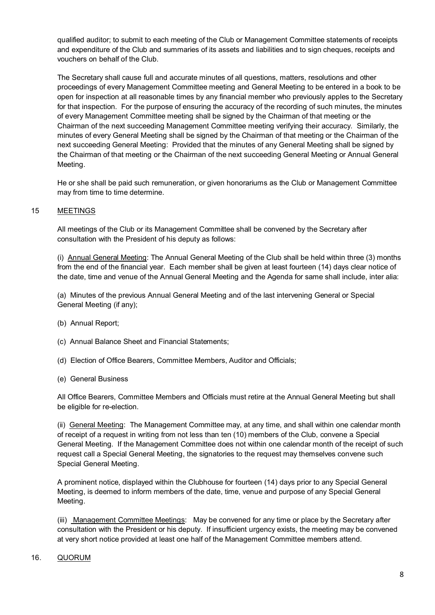qualified auditor; to submit to each meeting of the Club or Management Committee statements of receipts and expenditure of the Club and summaries of its assets and liabilities and to sign cheques, receipts and vouchers on behalf of the Club.

The Secretary shall cause full and accurate minutes of all questions, matters, resolutions and other proceedings of every Management Committee meeting and General Meeting to be entered in a book to be open for inspection at all reasonable times by any financial member who previously apples to the Secretary for that inspection. For the purpose of ensuring the accuracy of the recording of such minutes, the minutes of every Management Committee meeting shall be signed by the Chairman of that meeting or the Chairman of the next succeeding Management Committee meeting verifying their accuracy. Similarly, the minutes of every General Meeting shall be signed by the Chairman of that meeting or the Chairman of the next succeeding General Meeting: Provided that the minutes of any General Meeting shall be signed by the Chairman of that meeting or the Chairman of the next succeeding General Meeting or Annual General Meeting.

He or she shall be paid such remuneration, or given honorariums as the Club or Management Committee may from time to time determine.

### 15 MEETINGS

All meetings of the Club or its Management Committee shall be convened by the Secretary after consultation with the President of his deputy as follows:

(i) Annual General Meeting: The Annual General Meeting of the Club shall be held within three (3) months from the end of the financial year. Each member shall be given at least fourteen (14) days clear notice of the date, time and venue of the Annual General Meeting and the Agenda for same shall include, inter alia:

(a) Minutes of the previous Annual General Meeting and of the last intervening General or Special General Meeting (if any);

- (b) Annual Report;
- (c) Annual Balance Sheet and Financial Statements;
- (d) Election of Office Bearers, Committee Members, Auditor and Officials;
- (e) General Business

All Office Bearers, Committee Members and Officials must retire at the Annual General Meeting but shall be eligible for re-election.

(ii) General Meeting: The Management Committee may, at any time, and shall within one calendar month of receipt of a request in writing from not less than ten (10) members of the Club, convene a Special General Meeting. If the Management Committee does not within one calendar month of the receipt of such request call a Special General Meeting, the signatories to the request may themselves convene such Special General Meeting.

A prominent notice, displayed within the Clubhouse for fourteen (14) days prior to any Special General Meeting, is deemed to inform members of the date, time, venue and purpose of any Special General Meeting.

(iii) Management Committee Meetings: May be convened for any time or place by the Secretary after consultation with the President or his deputy. If insufficient urgency exists, the meeting may be convened at very short notice provided at least one half of the Management Committee members attend.

### 16. QUORUM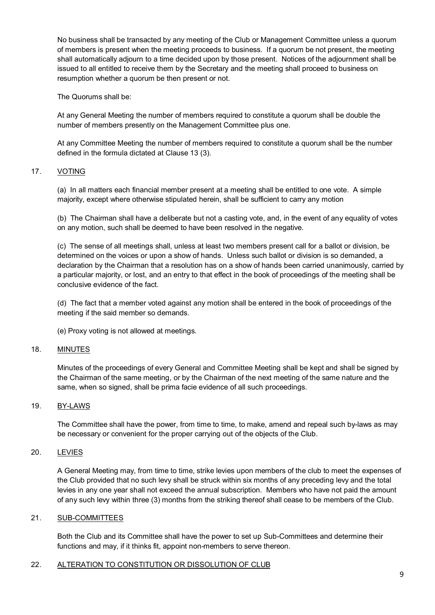No business shall be transacted by any meeting of the Club or Management Committee unless a quorum of members is present when the meeting proceeds to business. If a quorum be not present, the meeting shall automatically adjourn to a time decided upon by those present. Notices of the adjournment shall be issued to all entitled to receive them by the Secretary and the meeting shall proceed to business on resumption whether a quorum be then present or not.

The Quorums shall be:

At any General Meeting the number of members required to constitute a quorum shall be double the number of members presently on the Management Committee plus one.

At any Committee Meeting the number of members required to constitute a quorum shall be the number defined in the formula dictated at Clause 13 (3).

### 17. VOTING

(a) In all matters each financial member present at a meeting shall be entitled to one vote. A simple majority, except where otherwise stipulated herein, shall be sufficient to carry any motion

(b) The Chairman shall have a deliberate but not a casting vote, and, in the event of any equality of votes on any motion, such shall be deemed to have been resolved in the negative.

(c) The sense of all meetings shall, unless at least two members present call for a ballot or division, be determined on the voices or upon a show of hands. Unless such ballot or division is so demanded, a declaration by the Chairman that a resolution has on a show of hands been carried unanimously, carried by a particular majority, or lost, and an entry to that effect in the book of proceedings of the meeting shall be conclusive evidence of the fact.

(d) The fact that a member voted against any motion shall be entered in the book of proceedings of the meeting if the said member so demands.

(e) Proxy voting is not allowed at meetings.

### 18. MINUTES

Minutes of the proceedings of every General and Committee Meeting shall be kept and shall be signed by the Chairman of the same meeting, or by the Chairman of the next meeting of the same nature and the same, when so signed, shall be prima facie evidence of all such proceedings.

### 19. BY-LAWS

The Committee shall have the power, from time to time, to make, amend and repeal such by-laws as may be necessary or convenient for the proper carrying out of the objects of the Club.

### 20. LEVIES

A General Meeting may, from time to time, strike levies upon members of the club to meet the expenses of the Club provided that no such levy shall be struck within six months of any preceding levy and the total levies in any one year shall not exceed the annual subscription. Members who have not paid the amount of any such levy within three (3) months from the striking thereof shall cease to be members of the Club.

#### 21. SUB-COMMITTEES

Both the Club and its Committee shall have the power to set up Sub-Committees and determine their functions and may, if it thinks fit, appoint non-members to serve thereon.

#### 22. ALTERATION TO CONSTITUTION OR DISSOLUTION OF CLUB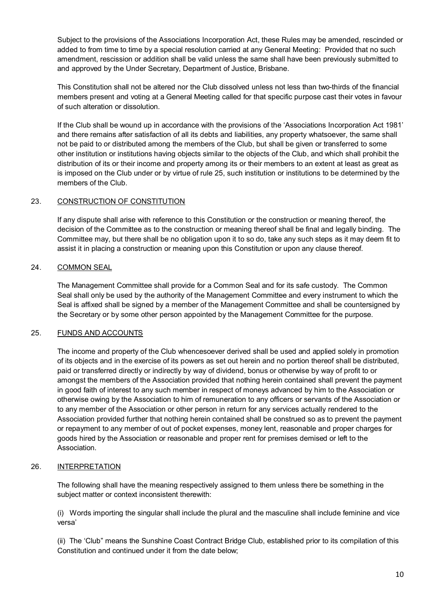Subject to the provisions of the Associations Incorporation Act, these Rules may be amended, rescinded or added to from time to time by a special resolution carried at any General Meeting: Provided that no such amendment, rescission or addition shall be valid unless the same shall have been previously submitted to and approved by the Under Secretary, Department of Justice, Brisbane.

This Constitution shall not be altered nor the Club dissolved unless not less than two-thirds of the financial members present and voting at a General Meeting called for that specific purpose cast their votes in favour of such alteration or dissolution.

If the Club shall be wound up in accordance with the provisions of the 'Associations Incorporation Act 1981' and there remains after satisfaction of all its debts and liabilities, any property whatsoever, the same shall not be paid to or distributed among the members of the Club, but shall be given or transferred to some other institution or institutions having objects similar to the objects of the Club, and which shall prohibit the distribution of its or their income and property among its or their members to an extent at least as great as is imposed on the Club under or by virtue of rule 25, such institution or institutions to be determined by the members of the Club.

# 23. CONSTRUCTION OF CONSTITUTION

If any dispute shall arise with reference to this Constitution or the construction or meaning thereof, the decision of the Committee as to the construction or meaning thereof shall be final and legally binding. The Committee may, but there shall be no obligation upon it to so do, take any such steps as it may deem fit to assist it in placing a construction or meaning upon this Constitution or upon any clause thereof.

# 24. COMMON SEAL

The Management Committee shall provide for a Common Seal and for its safe custody. The Common Seal shall only be used by the authority of the Management Committee and every instrument to which the Seal is affixed shall be signed by a member of the Management Committee and shall be countersigned by the Secretary or by some other person appointed by the Management Committee for the purpose.

### 25. FUNDS AND ACCOUNTS

The income and property of the Club whencesoever derived shall be used and applied solely in promotion of its objects and in the exercise of its powers as set out herein and no portion thereof shall be distributed, paid or transferred directly or indirectly by way of dividend, bonus or otherwise by way of profit to or amongst the members of the Association provided that nothing herein contained shall prevent the payment in good faith of interest to any such member in respect of moneys advanced by him to the Association or otherwise owing by the Association to him of remuneration to any officers or servants of the Association or to any member of the Association or other person in return for any services actually rendered to the Association provided further that nothing herein contained shall be construed so as to prevent the payment or repayment to any member of out of pocket expenses, money lent, reasonable and proper charges for goods hired by the Association or reasonable and proper rent for premises demised or left to the Association.

### 26. INTERPRETATION

The following shall have the meaning respectively assigned to them unless there be something in the subject matter or context inconsistent therewith:

(i) Words importing the singular shall include the plural and the masculine shall include feminine and vice versa'

(ii) The 'Club" means the Sunshine Coast Contract Bridge Club, established prior to its compilation of this Constitution and continued under it from the date below;